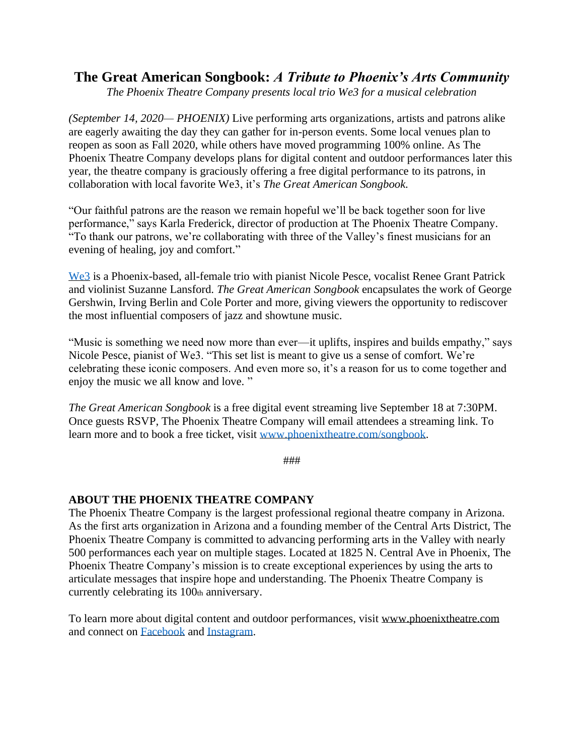## **The Great American Songbook:** *A Tribute to Phoenix's Arts Community*

*The Phoenix Theatre Company presents local trio We3 for a musical celebration*

*(September 14, 2020— PHOENIX)* Live performing arts organizations, artists and patrons alike are eagerly awaiting the day they can gather for in-person events. Some local venues plan to reopen as soon as Fall 2020, while others have moved programming 100% online. As The Phoenix Theatre Company develops plans for digital content and outdoor performances later this year, the theatre company is graciously offering a free digital performance to its patrons, in collaboration with local favorite We3, it's *The Great American Songbook*.

"Our faithful patrons are the reason we remain hopeful we'll be back together soon for live performance," says Karla Frederick, director of production at The Phoenix Theatre Company. "To thank our patrons, we're collaborating with three of the Valley's finest musicians for an evening of healing, joy and comfort."

[We3](https://www.we3music.com/) is a Phoenix-based, all-female trio with pianist Nicole Pesce, vocalist Renee Grant Patrick and violinist Suzanne Lansford. *The Great American Songbook* encapsulates the work of George Gershwin, Irving Berlin and Cole Porter and more, giving viewers the opportunity to rediscover the most influential composers of jazz and showtune music.

"Music is something we need now more than ever—it uplifts, inspires and builds empathy," says Nicole Pesce, pianist of We3. "This set list is meant to give us a sense of comfort. We're celebrating these iconic composers. And even more so, it's a reason for us to come together and enjoy the music we all know and love. "

*The Great American Songbook* is a free digital event streaming live September 18 at 7:30PM. Once guests RSVP, The Phoenix Theatre Company will email attendees a streaming link. To learn more and to book a free ticket, visit [www.phoenixtheatre.com/songbook.](http://www.phoenixtheatre.com/songbook)

###

## **ABOUT THE PHOENIX THEATRE COMPANY**

The Phoenix Theatre Company is the largest professional regional theatre company in Arizona. As the first arts organization in Arizona and a founding member of the Central Arts District, The Phoenix Theatre Company is committed to advancing performing arts in the Valley with nearly 500 performances each year on multiple stages. Located at 1825 N. Central Ave in Phoenix, The Phoenix Theatre Company's mission is to create exceptional experiences by using the arts to articulate messages that inspire hope and understanding. The Phoenix Theatre Company is currently celebrating its 100th anniversary.

To learn more about digital content and outdoor performances, visit [www.phoenixtheatre.com](http://www.phoenixtheatre.com/) and connect on [Facebook](https://www.facebook.com/PhoenixTheatre) and [Instagram.](https://www.instagram.com/phxtheatre/?hl=en)